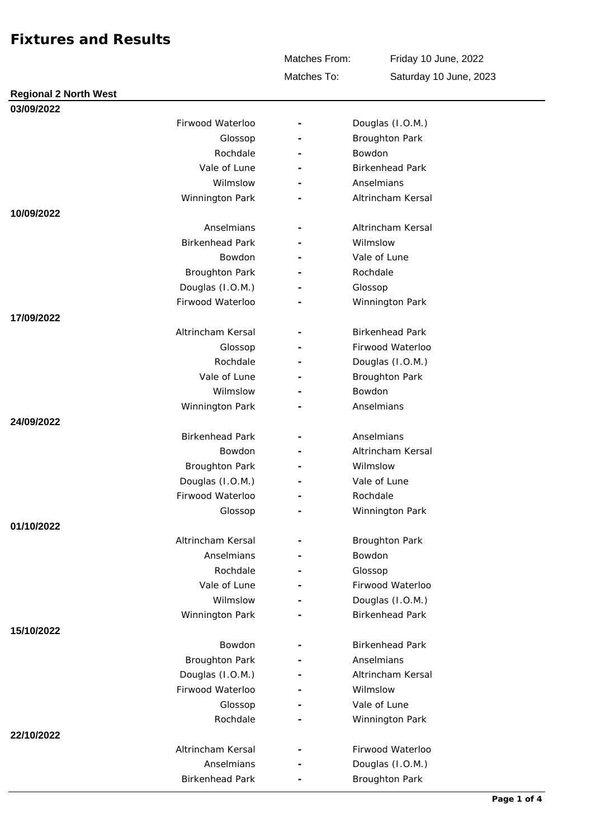Matches From:

Friday 10 June, 2022 Saturday 10 June, 2023

Matches To:

| <b>Regional 2 North West</b> |                        |                          |                        |
|------------------------------|------------------------|--------------------------|------------------------|
| 03/09/2022                   |                        |                          |                        |
|                              | Firwood Waterloo       | $\overline{\phantom{a}}$ | Douglas (I.O.M.)       |
|                              | Glossop                |                          | <b>Broughton Park</b>  |
|                              | Rochdale               |                          | Bowdon                 |
|                              | Vale of Lune           |                          | <b>Birkenhead Park</b> |
|                              | Wilmslow               | ۰                        | Anselmians             |
|                              | Winnington Park        |                          | Altrincham Kersal      |
| 10/09/2022                   |                        |                          |                        |
|                              | Anselmians             |                          | Altrincham Kersal      |
|                              | <b>Birkenhead Park</b> |                          | Wilmslow               |
|                              | Bowdon                 |                          | Vale of Lune           |
|                              | <b>Broughton Park</b>  |                          | Rochdale               |
|                              | Douglas (I.O.M.)       |                          | Glossop                |
|                              | Firwood Waterloo       |                          | Winnington Park        |
| 17/09/2022                   |                        |                          |                        |
|                              | Altrincham Kersal      |                          | <b>Birkenhead Park</b> |
|                              | Glossop                |                          | Firwood Waterloo       |
|                              | Rochdale               |                          | Douglas (I.O.M.)       |
|                              | Vale of Lune           |                          | <b>Broughton Park</b>  |
|                              | Wilmslow               |                          | Bowdon                 |
|                              | Winnington Park        |                          | Anselmians             |
| 24/09/2022                   |                        |                          |                        |
|                              | <b>Birkenhead Park</b> |                          | Anselmians             |
|                              | <b>Bowdon</b>          |                          | Altrincham Kersal      |
|                              | <b>Broughton Park</b>  |                          | Wilmslow               |
|                              | Douglas (I.O.M.)       |                          | Vale of Lune           |
|                              | Firwood Waterloo       |                          | Rochdale               |
|                              | Glossop                |                          | Winnington Park        |
| 01/10/2022                   |                        |                          |                        |
|                              | Altrincham Kersal      | $\overline{\phantom{m}}$ | <b>Broughton Park</b>  |
|                              | Anselmians             |                          | Bowdon                 |
|                              | Rochdale               | $\overline{\phantom{a}}$ | Glossop                |
|                              | Vale of Lune           |                          | Firwood Waterloo       |
|                              | Wilmslow               |                          | Douglas (I.O.M.)       |
|                              | Winnington Park        |                          | <b>Birkenhead Park</b> |
| 15/10/2022                   |                        |                          |                        |
|                              | Bowdon                 |                          | <b>Birkenhead Park</b> |
|                              | <b>Broughton Park</b>  |                          | Anselmians             |
|                              | Douglas (I.O.M.)       |                          | Altrincham Kersal      |
|                              | Firwood Waterloo       |                          | Wilmslow               |
|                              | Glossop                |                          | Vale of Lune           |
|                              | Rochdale               |                          | Winnington Park        |
| 22/10/2022                   |                        |                          |                        |
|                              | Altrincham Kersal      |                          | Firwood Waterloo       |
|                              | Anselmians             |                          | Douglas (I.O.M.)       |
|                              | <b>Birkenhead Park</b> |                          | <b>Broughton Park</b>  |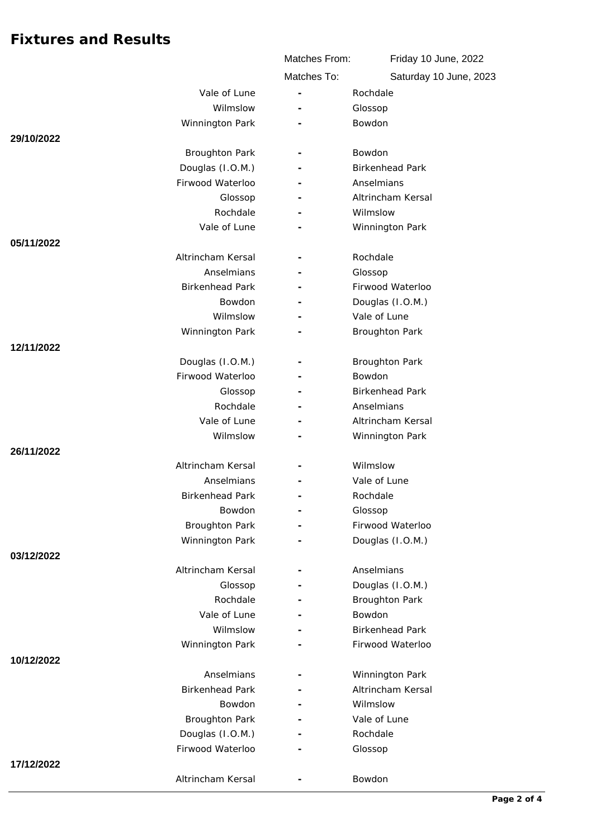|                        | Matches From:            | Friday 10 June, 2022   |
|------------------------|--------------------------|------------------------|
|                        | Matches To:              | Saturday 10 June, 2023 |
| Vale of Lune           |                          | Rochdale               |
| Wilmslow               |                          | Glossop                |
| Winnington Park        |                          | Bowdon                 |
| 29/10/2022             |                          |                        |
| <b>Broughton Park</b>  |                          | Bowdon                 |
| Douglas (I.O.M.)       |                          | <b>Birkenhead Park</b> |
| Firwood Waterloo       |                          | Anselmians             |
| Glossop                |                          | Altrincham Kersal      |
| Rochdale               |                          | Wilmslow               |
| Vale of Lune           |                          | Winnington Park        |
| 05/11/2022             |                          |                        |
| Altrincham Kersal      | $\overline{\phantom{a}}$ | Rochdale               |
| Anselmians             |                          | Glossop                |
| <b>Birkenhead Park</b> |                          | Firwood Waterloo       |
| Bowdon                 |                          | Douglas (I.O.M.)       |
| Wilmslow               |                          | Vale of Lune           |
| Winnington Park        |                          | <b>Broughton Park</b>  |
| 12/11/2022             |                          |                        |
| Douglas (I.O.M.)       |                          | <b>Broughton Park</b>  |
| Firwood Waterloo       |                          | Bowdon                 |
| Glossop                |                          | <b>Birkenhead Park</b> |
| Rochdale               |                          | Anselmians             |
| Vale of Lune           |                          | Altrincham Kersal      |
| Wilmslow               |                          | Winnington Park        |
| 26/11/2022             |                          |                        |
| Altrincham Kersal      |                          | Wilmslow               |
| Anselmians             |                          | Vale of Lune           |
| <b>Birkenhead Park</b> |                          | Rochdale               |
| Bowdon                 |                          | Glossop                |
| <b>Broughton Park</b>  |                          | Firwood Waterloo       |
| Winnington Park        |                          | Douglas (I.O.M.)       |
| 03/12/2022             |                          |                        |
| Altrincham Kersal      |                          | Anselmians             |
| Glossop                | $\overline{\phantom{0}}$ | Douglas (I.O.M.)       |
| Rochdale               |                          | <b>Broughton Park</b>  |
| Vale of Lune           |                          | Bowdon                 |
| Wilmslow               |                          | <b>Birkenhead Park</b> |
| Winnington Park        |                          | Firwood Waterloo       |
| 10/12/2022             |                          |                        |
| Anselmians             |                          | Winnington Park        |
| <b>Birkenhead Park</b> |                          | Altrincham Kersal      |
| Bowdon                 | $\overline{\phantom{0}}$ | Wilmslow               |
| <b>Broughton Park</b>  |                          | Vale of Lune           |
| Douglas (I.O.M.)       |                          | Rochdale               |
| Firwood Waterloo       |                          | Glossop                |
| 17/12/2022             |                          |                        |
| Altrincham Kersal      |                          | Bowdon                 |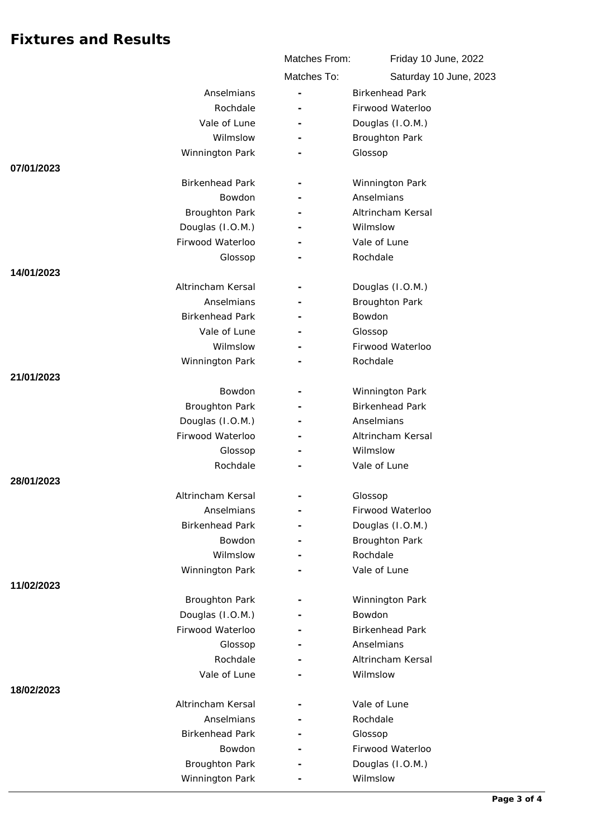|                        | Matches From:            | Friday 10 June, 2022   |
|------------------------|--------------------------|------------------------|
|                        | Matches To:              | Saturday 10 June, 2023 |
| Anselmians             |                          | <b>Birkenhead Park</b> |
| Rochdale               |                          | Firwood Waterloo       |
| Vale of Lune           | $\overline{\phantom{a}}$ | Douglas (I.O.M.)       |
| Wilmslow               |                          | <b>Broughton Park</b>  |
| Winnington Park        |                          | Glossop                |
| 07/01/2023             |                          |                        |
| <b>Birkenhead Park</b> | $\overline{\phantom{a}}$ | Winnington Park        |
| <b>Bowdon</b>          |                          | Anselmians             |
| <b>Broughton Park</b>  |                          | Altrincham Kersal      |
| Douglas (I.O.M.)       |                          | Wilmslow               |
| Firwood Waterloo       |                          | Vale of Lune           |
| Glossop                |                          | Rochdale               |
| 14/01/2023             |                          |                        |
| Altrincham Kersal      |                          | Douglas (I.O.M.)       |
| Anselmians             |                          | Broughton Park         |
| <b>Birkenhead Park</b> |                          | Bowdon                 |
| Vale of Lune           |                          | Glossop                |
| Wilmslow               |                          | Firwood Waterloo       |
| Winnington Park        |                          | Rochdale               |
| 21/01/2023             |                          |                        |
| Bowdon                 |                          | Winnington Park        |
| <b>Broughton Park</b>  |                          | <b>Birkenhead Park</b> |
| Douglas (I.O.M.)       |                          | Anselmians             |
| Firwood Waterloo       |                          | Altrincham Kersal      |
| Glossop                |                          | Wilmslow               |
| Rochdale               |                          | Vale of Lune           |
| 28/01/2023             |                          |                        |
| Altrincham Kersal      |                          | Glossop                |
| Anselmians             | $\overline{\phantom{a}}$ | Firwood Waterloo       |
| <b>Birkenhead Park</b> | $\sim$                   | Douglas (I.O.M.)       |
| Bowdon                 |                          | <b>Broughton Park</b>  |
| Wilmslow               |                          | Rochdale               |
| Winnington Park        |                          | Vale of Lune           |
| 11/02/2023             |                          |                        |
| <b>Broughton Park</b>  |                          | Winnington Park        |
| Douglas (I.O.M.)       |                          | Bowdon                 |
| Firwood Waterloo       |                          | <b>Birkenhead Park</b> |
| Glossop                |                          | Anselmians             |
| Rochdale               |                          | Altrincham Kersal      |
| Vale of Lune           |                          | Wilmslow               |
| 18/02/2023             |                          |                        |
| Altrincham Kersal      |                          | Vale of Lune           |
| Anselmians             |                          | Rochdale               |
| <b>Birkenhead Park</b> |                          | Glossop                |
| Bowdon                 |                          | Firwood Waterloo       |
| <b>Broughton Park</b>  |                          | Douglas (I.O.M.)       |
| Winnington Park        |                          | Wilmslow               |